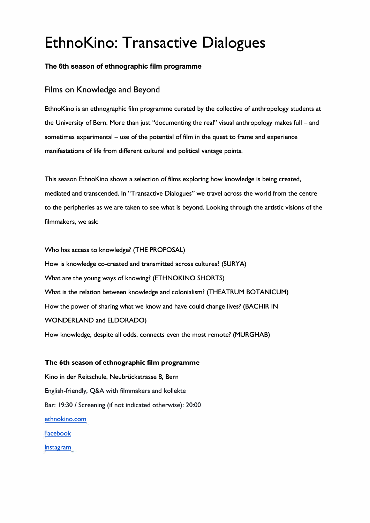# **EthnoKino: Transactive Dialogues**

#### **The 6th season of ethnographic film programme**

## **Films on Knowledge and Beyond**

EthnoKino is an ethnographic film programme curated by the collective of anthropology students at the University of Bern. More than just "documenting the real" visual anthropology makes full - and sometimes experimental  $-$  use of the potential of film in the quest to frame and experience manifestations of life from different cultural and political vantage points.

This season EthnoKino shows a selection of films exploring how knowledge is being created, mediated and transcended. In "Transactive Dialogues" we travel across the world from the centre to the peripheries as we are taken to see what is beyond. Looking through the artistic visions of the filmmakers, we ask:

Who has access to knowledge? (THE PROPOSAL) How is knowledge co-created and transmitted across cultures? (SURYA) What are the young ways of knowing? (ETHNOKINO SHORTS) What is the relation between knowledge and colonialism? (THEATRUM BOTANICUM) How the power of sharing what we know and have could change lives? (BACHIR IN WONDERLAND and ELDORADO) How knowledge, despite all odds, connects even the most remote? (MURGHAB)

#### **The 6th season of ethnographic film programme**

Kino in der Reitschule, Neubrückstrasse 8, Bern English-friendly, Q&A with filmmakers and kollekte Bar: 19:30 / Screening (if not indicated otherwise): 20:00 [ethnokino.com](https://www.ethnokino.com/) **[Facebook](https://www.facebook.com/EthnoKinoBern/)** [lnstagram](https://www.instagram.com/ethno_kino/)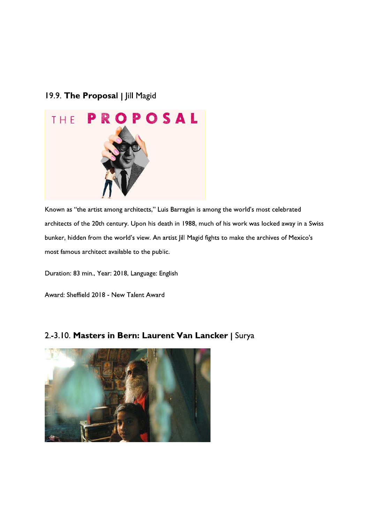# 19.9. The Proposal | Jill Magid



Known as "the artist among architects," Luis Barragán is among the world's most celebrated architects of the 20th century. Upon his death in 1988, much of his work was locked away in a Swiss bunker, hidden from the world's view. An artist Jill Magid fights to make the archives of Mexico's most famous architect available to the public.

Duration: 83 min., Year: 2018, Language: English

Award: Sheffield 2018 - New Talent Award

# 2.-3.10. Masters in Bern: Laurent Van Lancker | Surya

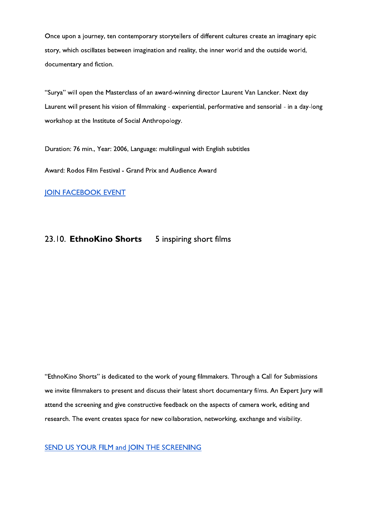Once upon a journey, ten contemporary storytellers of different cultures create an imaginary epic story, which oscillates between imagination and reality, the inner world and the outside world, documentary and fiction.

"Surya" will open the Masterclass of an award-winning director Laurent Van Lancker. Next day Laurent will present his vision of filmmaking - experiential, performative and sensorial - in a day-long workshop at the Institute of Social Anthropology.

Duration: 76 min., Year: 2006, Language: multilingual with English subtitles

Award: Rodos Film Festival - Grand Prix and Audience Award

**JOIN FACEBOOK EVENT** 

# 23.10. EthnoKino Shorts 5 inspiring short films

"EthnoKino Shorts" is dedicated to the work of young filmmakers. Through a Call for Submissions we invite filmmakers to present and discuss their latest short documentary films. An Expert Jury will attend the screening and give constructive feedback on the aspects of camera work, editing and research. The event creates space for new collaboration, networking, exchange and visibility.

SEND US YOUR FILM and JOIN THE SCREENING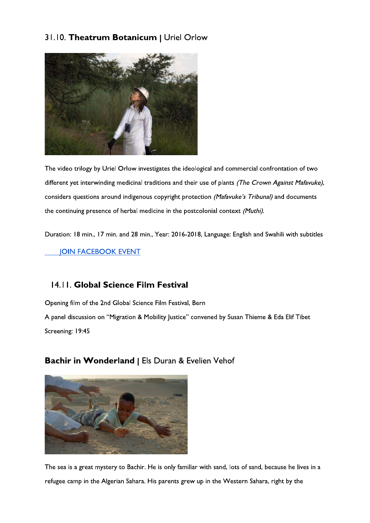# 31.10. Theatrum Botanicum | Uriel Orlow



The video trilogy by Uriel Orlow investigates the ideological and commercial confrontation of two different yet interwinding medicinal traditions and their use of plants (The Crown Against Mafavuke), considers questions around indigenous copyright protection (Mafavuke's Tribunal) and documents the continuing presence of herbal medicine in the postcolonial context (Muthi).

Duration: 18 min., 17 min. and 28 min., Year: 2016-2018, Language: English and Swahili with subtitles

**JOIN FACEBOOK EVENT** 

# 14.11. Global Science Film Festival

Opening film of the 2nd Global Science Film Festival, Bern A panel discussion on "Migration & Mobility Justice" convened by Susan Thieme & Eda Elif Tibet Screening: 19:45

# Bachir in Wonderland | Els Duran & Evelien Vehof



The sea is a great mystery to Bachir. He is only familiar with sand, lots of sand, because he lives in a refugee camp in the Algerian Sahara. His parents grew up in the Western Sahara, right by the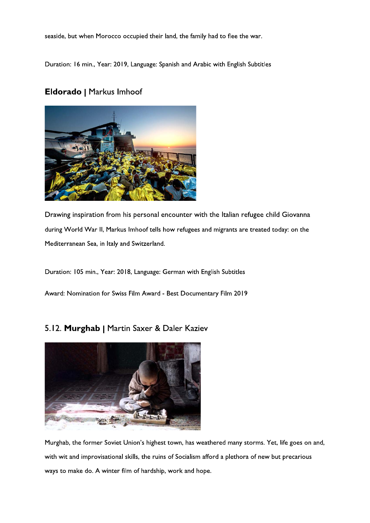seaside, but when Morocco occupied their land, the family had to flee the war.

Duration: 16 min., Year: 2019, Language: Spanish and Arabic with English Subtitles

# Eldorado | Markus Imhoof



Drawing inspiration from his personal encounter with the Italian refugee child Giovanna during World War II, Markus Imhoof tells how refugees and migrants are treated today: on the Mediterranean Sea, in Italy and Switzerland.

Duration: 105 min., Year: 2018, Language: German with English Subtitles

Award: Nomination for Swiss Film Award - Best Documentary Film 2019

# 5.12. Murghab | Martin Saxer & Daler Kaziev



Murghab, the former Soviet Union's highest town, has weathered many storms. Yet, life goes on and, with wit and improvisational skills, the ruins of Socialism afford a plethora of new but precarious ways to make do. A winter film of hardship, work and hope.